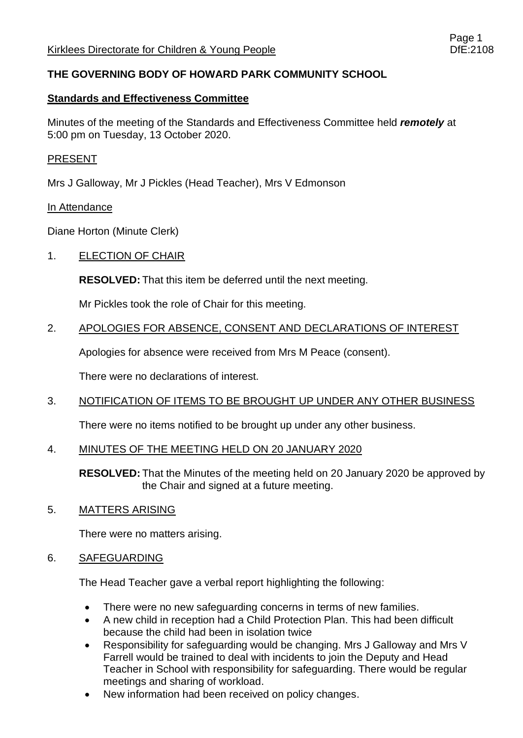# **THE GOVERNING BODY OF HOWARD PARK COMMUNITY SCHOOL**

## **Standards and Effectiveness Committee**

Minutes of the meeting of the Standards and Effectiveness Committee held *remotely* at 5:00 pm on Tuesday, 13 October 2020.

### PRESENT

Mrs J Galloway, Mr J Pickles (Head Teacher), Mrs V Edmonson

#### In Attendance

Diane Horton (Minute Clerk)

### 1. ELECTION OF CHAIR

**RESOLVED:** That this item be deferred until the next meeting.

Mr Pickles took the role of Chair for this meeting.

### 2. APOLOGIES FOR ABSENCE, CONSENT AND DECLARATIONS OF INTEREST

Apologies for absence were received from Mrs M Peace (consent).

There were no declarations of interest.

## 3. NOTIFICATION OF ITEMS TO BE BROUGHT UP UNDER ANY OTHER BUSINESS

There were no items notified to be brought up under any other business.

## 4. MINUTES OF THE MEETING HELD ON 20 JANUARY 2020

**RESOLVED:** That the Minutes of the meeting held on 20 January 2020 be approved by the Chair and signed at a future meeting.

#### 5. MATTERS ARISING

There were no matters arising.

#### 6. SAFEGUARDING

The Head Teacher gave a verbal report highlighting the following:

- There were no new safeguarding concerns in terms of new families.
- A new child in reception had a Child Protection Plan. This had been difficult because the child had been in isolation twice
- Responsibility for safeguarding would be changing. Mrs J Galloway and Mrs V Farrell would be trained to deal with incidents to join the Deputy and Head Teacher in School with responsibility for safeguarding. There would be regular meetings and sharing of workload.
- New information had been received on policy changes.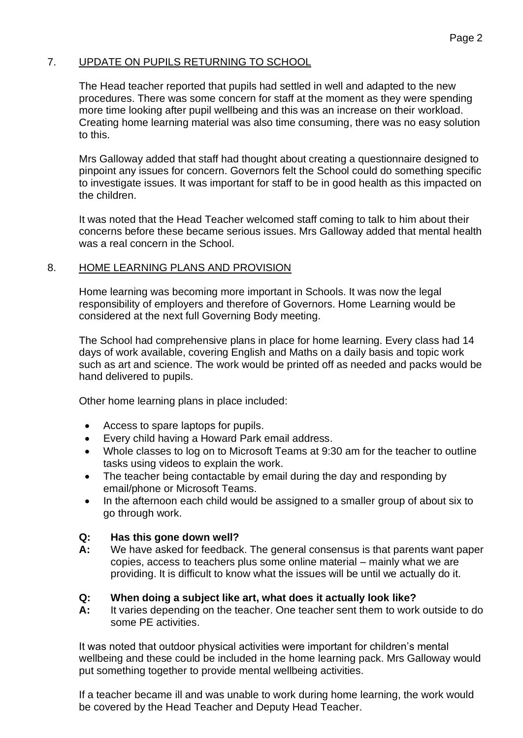## 7. UPDATE ON PUPILS RETURNING TO SCHOOL

The Head teacher reported that pupils had settled in well and adapted to the new procedures. There was some concern for staff at the moment as they were spending more time looking after pupil wellbeing and this was an increase on their workload. Creating home learning material was also time consuming, there was no easy solution to this.

Mrs Galloway added that staff had thought about creating a questionnaire designed to pinpoint any issues for concern. Governors felt the School could do something specific to investigate issues. It was important for staff to be in good health as this impacted on the children.

It was noted that the Head Teacher welcomed staff coming to talk to him about their concerns before these became serious issues. Mrs Galloway added that mental health was a real concern in the School.

### 8. HOME LEARNING PLANS AND PROVISION

Home learning was becoming more important in Schools. It was now the legal responsibility of employers and therefore of Governors. Home Learning would be considered at the next full Governing Body meeting.

The School had comprehensive plans in place for home learning. Every class had 14 days of work available, covering English and Maths on a daily basis and topic work such as art and science. The work would be printed off as needed and packs would be hand delivered to pupils.

Other home learning plans in place included:

- Access to spare laptops for pupils.
- Every child having a Howard Park email address.
- Whole classes to log on to Microsoft Teams at 9:30 am for the teacher to outline tasks using videos to explain the work.
- The teacher being contactable by email during the day and responding by email/phone or Microsoft Teams.
- In the afternoon each child would be assigned to a smaller group of about six to go through work.

#### **Q: Has this gone down well?**

**A:** We have asked for feedback. The general consensus is that parents want paper copies, access to teachers plus some online material – mainly what we are providing. It is difficult to know what the issues will be until we actually do it.

#### **Q: When doing a subject like art, what does it actually look like?**

**A:** It varies depending on the teacher. One teacher sent them to work outside to do some PE activities.

It was noted that outdoor physical activities were important for children's mental wellbeing and these could be included in the home learning pack. Mrs Galloway would put something together to provide mental wellbeing activities.

If a teacher became ill and was unable to work during home learning, the work would be covered by the Head Teacher and Deputy Head Teacher.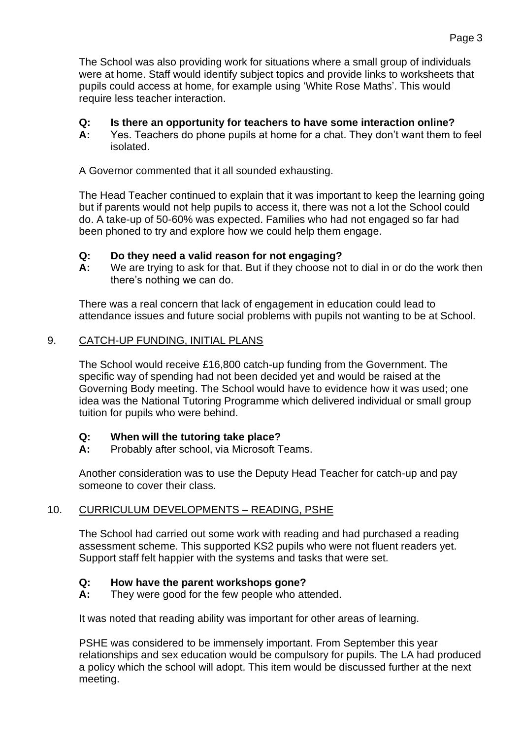The School was also providing work for situations where a small group of individuals were at home. Staff would identify subject topics and provide links to worksheets that pupils could access at home, for example using 'White Rose Maths'. This would require less teacher interaction.

## **Q: Is there an opportunity for teachers to have some interaction online?**

**A:** Yes. Teachers do phone pupils at home for a chat. They don't want them to feel isolated.

A Governor commented that it all sounded exhausting.

The Head Teacher continued to explain that it was important to keep the learning going but if parents would not help pupils to access it, there was not a lot the School could do. A take-up of 50-60% was expected. Families who had not engaged so far had been phoned to try and explore how we could help them engage.

# **Q: Do they need a valid reason for not engaging?**

**A:** We are trying to ask for that. But if they choose not to dial in or do the work then there's nothing we can do.

There was a real concern that lack of engagement in education could lead to attendance issues and future social problems with pupils not wanting to be at School.

# 9. CATCH-UP FUNDING, INITIAL PLANS

The School would receive £16,800 catch-up funding from the Government. The specific way of spending had not been decided yet and would be raised at the Governing Body meeting. The School would have to evidence how it was used; one idea was the National Tutoring Programme which delivered individual or small group tuition for pupils who were behind.

## **Q: When will the tutoring take place?**

**A:** Probably after school, via Microsoft Teams.

Another consideration was to use the Deputy Head Teacher for catch-up and pay someone to cover their class.

# 10. CURRICULUM DEVELOPMENTS – READING, PSHE

The School had carried out some work with reading and had purchased a reading assessment scheme. This supported KS2 pupils who were not fluent readers yet. Support staff felt happier with the systems and tasks that were set.

## **Q: How have the parent workshops gone?**

**A:** They were good for the few people who attended.

It was noted that reading ability was important for other areas of learning.

PSHE was considered to be immensely important. From September this year relationships and sex education would be compulsory for pupils. The LA had produced a policy which the school will adopt. This item would be discussed further at the next meeting.